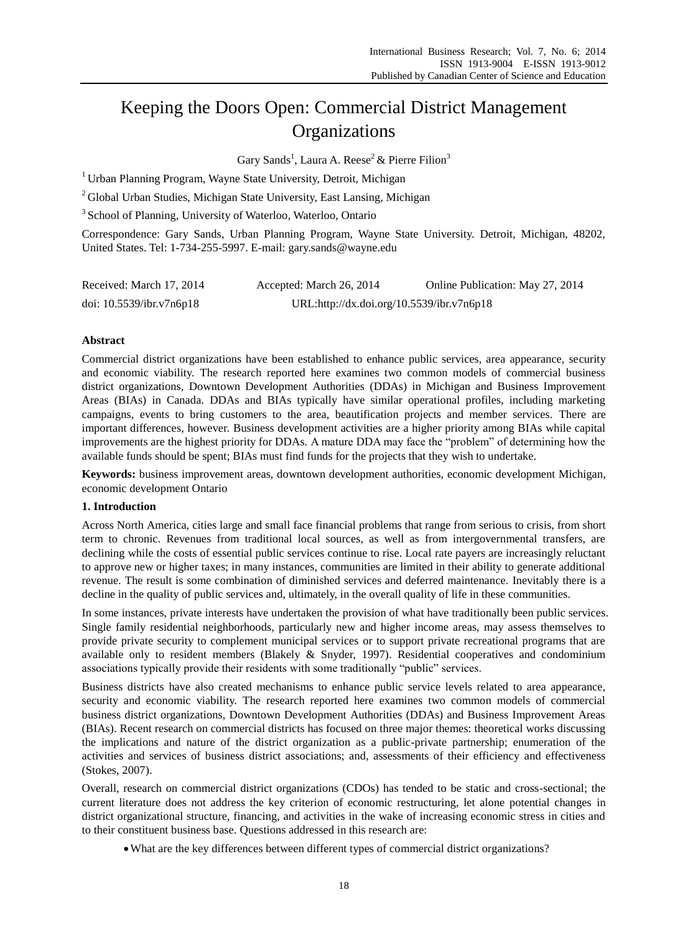# Keeping the Doors Open: Commercial District Management **Organizations**

Gary Sands<sup>1</sup>, Laura A. Reese<sup>2</sup> & Pierre Filion<sup>3</sup>

<sup>1</sup> Urban Planning Program, Wayne State University, Detroit, Michigan

<sup>2</sup> Global Urban Studies, Michigan State University, East Lansing, Michigan

<sup>3</sup> School of Planning, University of Waterloo, Waterloo, Ontario

Correspondence: Gary Sands, Urban Planning Program, Wayne State University. Detroit, Michigan, 48202, United States. Tel: 1-734-255-5997. E-mail: gary.sands@wayne.edu

| Received: March 17, 2014    | Accepted: March 26, 2014                  | Online Publication: May 27, 2014 |
|-----------------------------|-------------------------------------------|----------------------------------|
| doi: $10.5539$ /ibr.v7n6p18 | URL:http://dx.doi.org/10.5539/ibr.v7n6p18 |                                  |

# **Abstract**

Commercial district organizations have been established to enhance public services, area appearance, security and economic viability. The research reported here examines two common models of commercial business district organizations, Downtown Development Authorities (DDAs) in Michigan and Business Improvement Areas (BIAs) in Canada. DDAs and BIAs typically have similar operational profiles, including marketing campaigns, events to bring customers to the area, beautification projects and member services. There are important differences, however. Business development activities are a higher priority among BIAs while capital improvements are the highest priority for DDAs. A mature DDA may face the "problem" of determining how the available funds should be spent; BIAs must find funds for the projects that they wish to undertake.

**Keywords:** business improvement areas, downtown development authorities, economic development Michigan, economic development Ontario

# **1. Introduction**

Across North America, cities large and small face financial problems that range from serious to crisis, from short term to chronic. Revenues from traditional local sources, as well as from intergovernmental transfers, are declining while the costs of essential public services continue to rise. Local rate payers are increasingly reluctant to approve new or higher taxes; in many instances, communities are limited in their ability to generate additional revenue. The result is some combination of diminished services and deferred maintenance. Inevitably there is a decline in the quality of public services and, ultimately, in the overall quality of life in these communities.

In some instances, private interests have undertaken the provision of what have traditionally been public services. Single family residential neighborhoods, particularly new and higher income areas, may assess themselves to provide private security to complement municipal services or to support private recreational programs that are available only to resident members (Blakely & Snyder, 1997). Residential cooperatives and condominium associations typically provide their residents with some traditionally "public" services.

Business districts have also created mechanisms to enhance public service levels related to area appearance, security and economic viability. The research reported here examines two common models of commercial business district organizations, Downtown Development Authorities (DDAs) and Business Improvement Areas (BIAs). Recent research on commercial districts has focused on three major themes: theoretical works discussing the implications and nature of the district organization as a public-private partnership; enumeration of the activities and services of business district associations; and, assessments of their efficiency and effectiveness (Stokes, 2007).

Overall, research on commercial district organizations (CDOs) has tended to be static and cross-sectional; the current literature does not address the key criterion of economic restructuring, let alone potential changes in district organizational structure, financing, and activities in the wake of increasing economic stress in cities and to their constituent business base. Questions addressed in this research are:

What are the key differences between different types of commercial district organizations?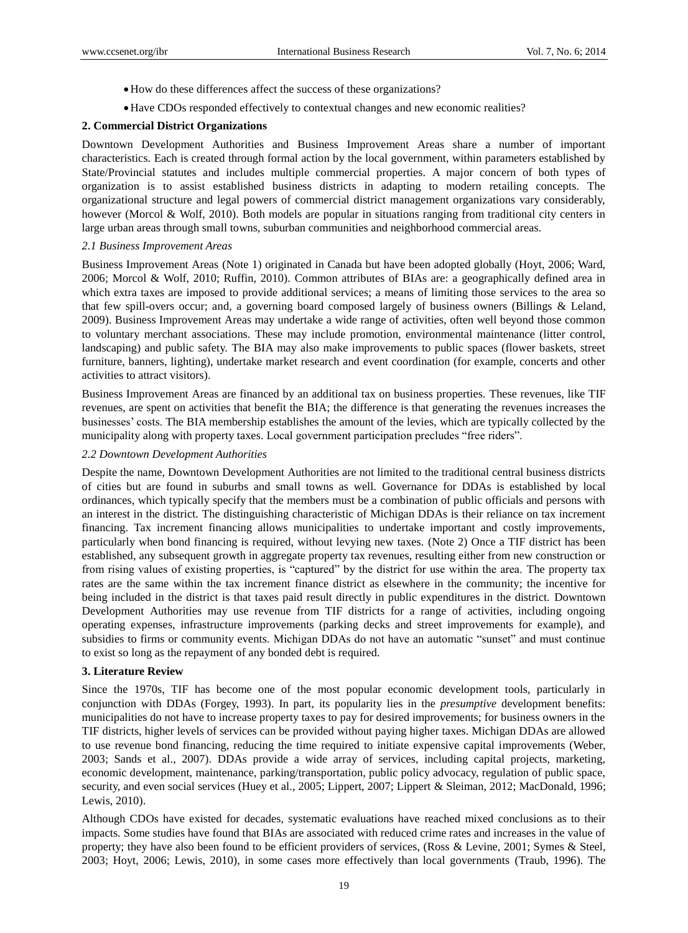- How do these differences affect the success of these organizations?
- Have CDOs responded effectively to contextual changes and new economic realities?

# **2. Commercial District Organizations**

Downtown Development Authorities and Business Improvement Areas share a number of important characteristics. Each is created through formal action by the local government, within parameters established by State/Provincial statutes and includes multiple commercial properties. A major concern of both types of organization is to assist established business districts in adapting to modern retailing concepts. The organizational structure and legal powers of commercial district management organizations vary considerably, however (Morcol & Wolf, 2010). Both models are popular in situations ranging from traditional city centers in large urban areas through small towns, suburban communities and neighborhood commercial areas.

# *2.1 Business Improvement Areas*

Business Improvement Areas (Note 1) originated in Canada but have been adopted globally (Hoyt, 2006; Ward, 2006; Morcol & Wolf, 2010; Ruffin, 2010). Common attributes of BIAs are: a geographically defined area in which extra taxes are imposed to provide additional services; a means of limiting those services to the area so that few spill-overs occur; and, a governing board composed largely of business owners (Billings & Leland, 2009). Business Improvement Areas may undertake a wide range of activities, often well beyond those common to voluntary merchant associations. These may include promotion, environmental maintenance (litter control, landscaping) and public safety. The BIA may also make improvements to public spaces (flower baskets, street furniture, banners, lighting), undertake market research and event coordination (for example, concerts and other activities to attract visitors).

Business Improvement Areas are financed by an additional tax on business properties. These revenues, like TIF revenues, are spent on activities that benefit the BIA; the difference is that generating the revenues increases the businesses' costs. The BIA membership establishes the amount of the levies, which are typically collected by the municipality along with property taxes. Local government participation precludes "free riders".

## *2.2 Downtown Development Authorities*

Despite the name, Downtown Development Authorities are not limited to the traditional central business districts of cities but are found in suburbs and small towns as well. Governance for DDAs is established by local ordinances, which typically specify that the members must be a combination of public officials and persons with an interest in the district. The distinguishing characteristic of Michigan DDAs is their reliance on tax increment financing. Tax increment financing allows municipalities to undertake important and costly improvements, particularly when bond financing is required, without levying new taxes. (Note 2) Once a TIF district has been established, any subsequent growth in aggregate property tax revenues, resulting either from new construction or from rising values of existing properties, is "captured" by the district for use within the area. The property tax rates are the same within the tax increment finance district as elsewhere in the community; the incentive for being included in the district is that taxes paid result directly in public expenditures in the district. Downtown Development Authorities may use revenue from TIF districts for a range of activities, including ongoing operating expenses, infrastructure improvements (parking decks and street improvements for example), and subsidies to firms or community events. Michigan DDAs do not have an automatic "sunset" and must continue to exist so long as the repayment of any bonded debt is required.

## **3. Literature Review**

Since the 1970s, TIF has become one of the most popular economic development tools, particularly in conjunction with DDAs (Forgey, 1993). In part, its popularity lies in the *presumptive* development benefits: municipalities do not have to increase property taxes to pay for desired improvements; for business owners in the TIF districts, higher levels of services can be provided without paying higher taxes. Michigan DDAs are allowed to use revenue bond financing, reducing the time required to initiate expensive capital improvements (Weber, 2003; Sands et al., 2007). DDAs provide a wide array of services, including capital projects, marketing, economic development, maintenance, parking/transportation, public policy advocacy, regulation of public space, security, and even social services (Huey et al., 2005; Lippert, 2007; Lippert & Sleiman, 2012; MacDonald, 1996; Lewis, 2010).

Although CDOs have existed for decades, systematic evaluations have reached mixed conclusions as to their impacts. Some studies have found that BIAs are associated with reduced crime rates and increases in the value of property; they have also been found to be efficient providers of services, (Ross & Levine, 2001; Symes & Steel, 2003; Hoyt, 2006; Lewis, 2010), in some cases more effectively than local governments (Traub, 1996). The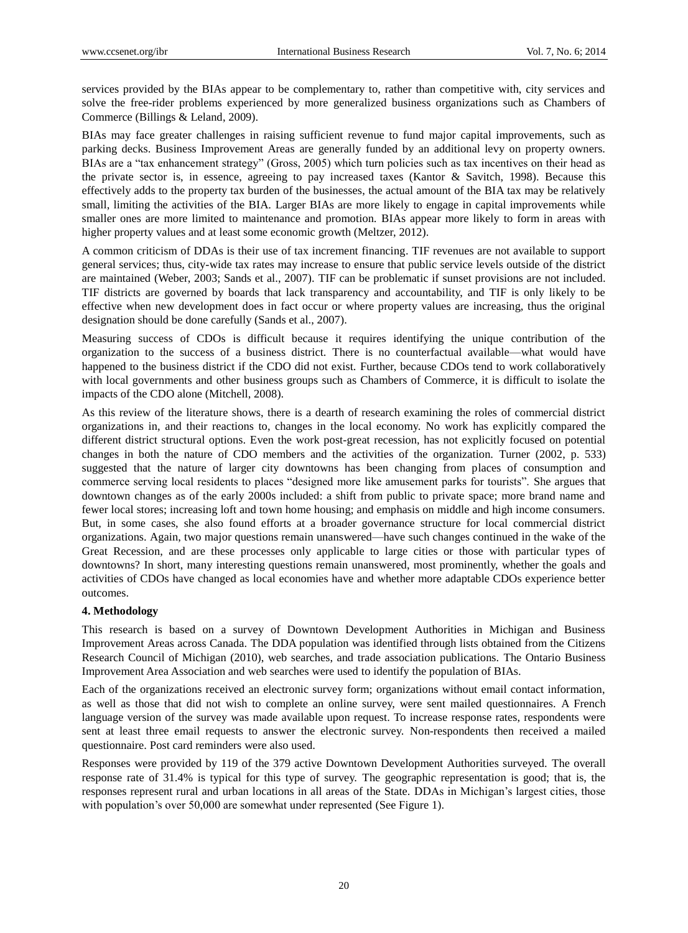services provided by the BIAs appear to be complementary to, rather than competitive with, city services and solve the free-rider problems experienced by more generalized business organizations such as Chambers of Commerce (Billings & Leland, 2009).

BIAs may face greater challenges in raising sufficient revenue to fund major capital improvements, such as parking decks. Business Improvement Areas are generally funded by an additional levy on property owners. BIAs are a "tax enhancement strategy" (Gross, 2005) which turn policies such as tax incentives on their head as the private sector is, in essence, agreeing to pay increased taxes (Kantor & Savitch, 1998). Because this effectively adds to the property tax burden of the businesses, the actual amount of the BIA tax may be relatively small, limiting the activities of the BIA. Larger BIAs are more likely to engage in capital improvements while smaller ones are more limited to maintenance and promotion. BIAs appear more likely to form in areas with higher property values and at least some economic growth (Meltzer, 2012).

A common criticism of DDAs is their use of tax increment financing. TIF revenues are not available to support general services; thus, city-wide tax rates may increase to ensure that public service levels outside of the district are maintained (Weber, 2003; Sands et al., 2007). TIF can be problematic if sunset provisions are not included. TIF districts are governed by boards that lack transparency and accountability, and TIF is only likely to be effective when new development does in fact occur or where property values are increasing, thus the original designation should be done carefully (Sands et al., 2007).

Measuring success of CDOs is difficult because it requires identifying the unique contribution of the organization to the success of a business district. There is no counterfactual available—what would have happened to the business district if the CDO did not exist. Further, because CDOs tend to work collaboratively with local governments and other business groups such as Chambers of Commerce, it is difficult to isolate the impacts of the CDO alone (Mitchell, 2008).

As this review of the literature shows, there is a dearth of research examining the roles of commercial district organizations in, and their reactions to, changes in the local economy. No work has explicitly compared the different district structural options. Even the work post-great recession, has not explicitly focused on potential changes in both the nature of CDO members and the activities of the organization. Turner (2002, p. 533) suggested that the nature of larger city downtowns has been changing from places of consumption and commerce serving local residents to places "designed more like amusement parks for tourists". She argues that downtown changes as of the early 2000s included: a shift from public to private space; more brand name and fewer local stores; increasing loft and town home housing; and emphasis on middle and high income consumers. But, in some cases, she also found efforts at a broader governance structure for local commercial district organizations. Again, two major questions remain unanswered—have such changes continued in the wake of the Great Recession, and are these processes only applicable to large cities or those with particular types of downtowns? In short, many interesting questions remain unanswered, most prominently, whether the goals and activities of CDOs have changed as local economies have and whether more adaptable CDOs experience better outcomes.

# **4. Methodology**

This research is based on a survey of Downtown Development Authorities in Michigan and Business Improvement Areas across Canada. The DDA population was identified through lists obtained from the Citizens Research Council of Michigan (2010), web searches, and trade association publications. The Ontario Business Improvement Area Association and web searches were used to identify the population of BIAs.

Each of the organizations received an electronic survey form; organizations without email contact information, as well as those that did not wish to complete an online survey, were sent mailed questionnaires. A French language version of the survey was made available upon request. To increase response rates, respondents were sent at least three email requests to answer the electronic survey. Non-respondents then received a mailed questionnaire. Post card reminders were also used.

Responses were provided by 119 of the 379 active Downtown Development Authorities surveyed. The overall response rate of 31.4% is typical for this type of survey. The geographic representation is good; that is, the responses represent rural and urban locations in all areas of the State. DDAs in Michigan's largest cities, those with population's over 50,000 are somewhat under represented (See Figure 1).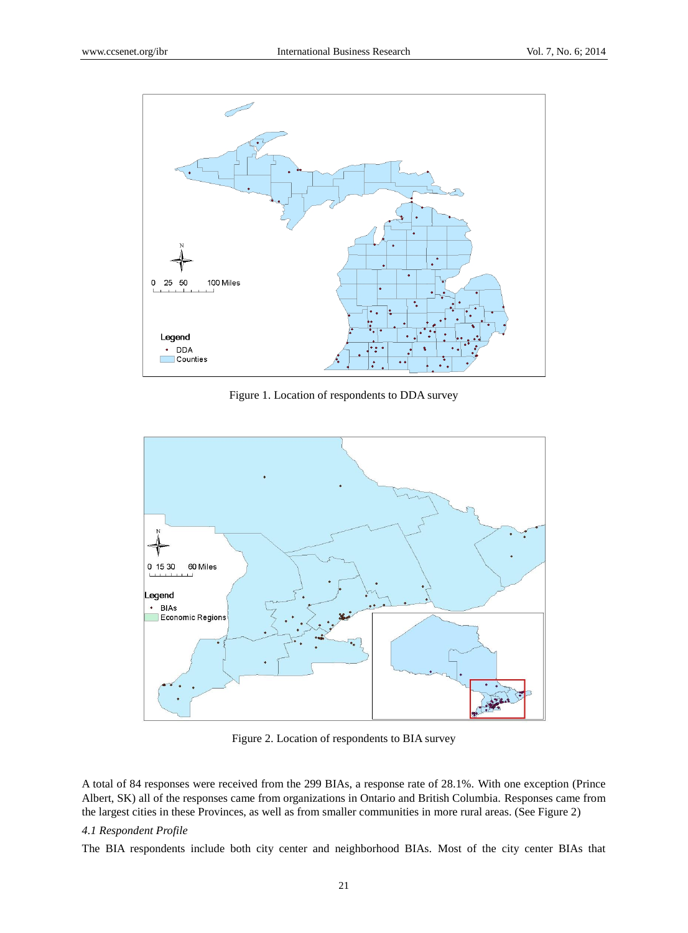

Figure 1. Location of respondents to DDA survey



Figure 2. Location of respondents to BIA survey

A total of 84 responses were received from the 299 BIAs, a response rate of 28.1%. With one exception (Prince Albert, SK) all of the responses came from organizations in Ontario and British Columbia. Responses came from the largest cities in these Provinces, as well as from smaller communities in more rural areas. (See Figure 2)

# *4.1 Respondent Profile*

The BIA respondents include both city center and neighborhood BIAs. Most of the city center BIAs that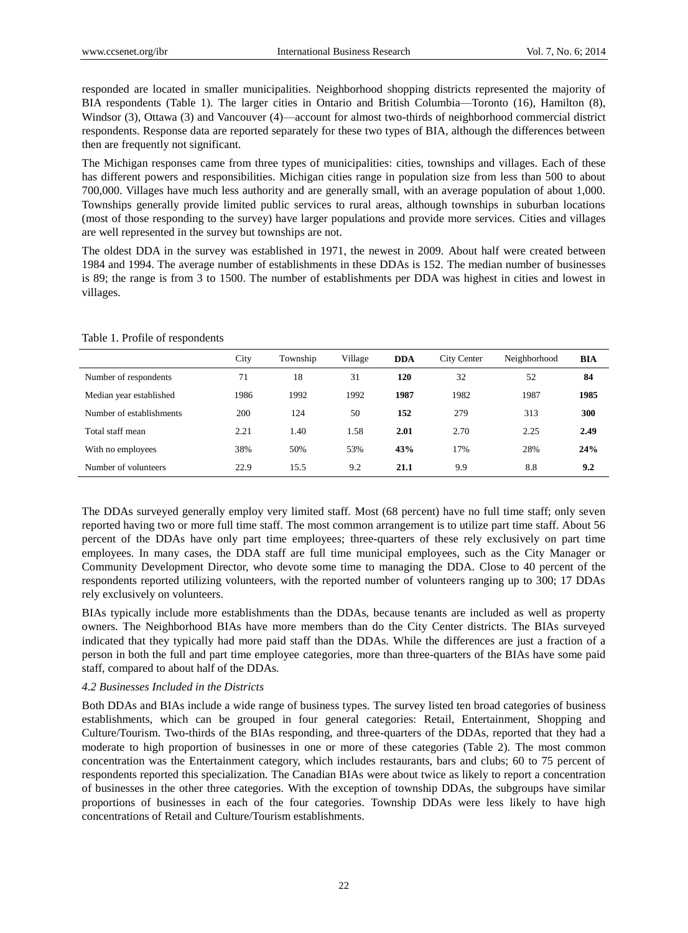responded are located in smaller municipalities. Neighborhood shopping districts represented the majority of BIA respondents (Table 1). The larger cities in Ontario and British Columbia—Toronto (16), Hamilton (8), Windsor (3), Ottawa (3) and Vancouver (4)—account for almost two-thirds of neighborhood commercial district respondents. Response data are reported separately for these two types of BIA, although the differences between then are frequently not significant.

The Michigan responses came from three types of municipalities: cities, townships and villages. Each of these has different powers and responsibilities. Michigan cities range in population size from less than 500 to about 700,000. Villages have much less authority and are generally small, with an average population of about 1,000. Townships generally provide limited public services to rural areas, although townships in suburban locations (most of those responding to the survey) have larger populations and provide more services. Cities and villages are well represented in the survey but townships are not.

The oldest DDA in the survey was established in 1971, the newest in 2009. About half were created between 1984 and 1994. The average number of establishments in these DDAs is 152. The median number of businesses is 89; the range is from 3 to 1500. The number of establishments per DDA was highest in cities and lowest in villages.

|                          | City | Township | Village | <b>DDA</b> | City Center | Neighborhood | <b>BIA</b> |
|--------------------------|------|----------|---------|------------|-------------|--------------|------------|
| Number of respondents    | 71   | 18       | 31      | 120        | 32          | 52           | 84         |
| Median year established  | 1986 | 1992     | 1992    | 1987       | 1982        | 1987         | 1985       |
| Number of establishments | 200  | 124      | 50      | 152        | 279         | 313          | 300        |
| Total staff mean         | 2.21 | 1.40     | 1.58    | 2.01       | 2.70        | 2.25         | 2.49       |
| With no employees        | 38%  | 50%      | 53%     | 43%        | 17%         | 28%          | 24%        |
| Number of volunteers     | 22.9 | 15.5     | 9.2     | 21.1       | 9.9         | 8.8          | 9.2        |

Table 1. Profile of respondents

The DDAs surveyed generally employ very limited staff. Most (68 percent) have no full time staff; only seven reported having two or more full time staff. The most common arrangement is to utilize part time staff. About 56 percent of the DDAs have only part time employees; three-quarters of these rely exclusively on part time employees. In many cases, the DDA staff are full time municipal employees, such as the City Manager or Community Development Director, who devote some time to managing the DDA. Close to 40 percent of the respondents reported utilizing volunteers, with the reported number of volunteers ranging up to 300; 17 DDAs rely exclusively on volunteers.

BIAs typically include more establishments than the DDAs, because tenants are included as well as property owners. The Neighborhood BIAs have more members than do the City Center districts. The BIAs surveyed indicated that they typically had more paid staff than the DDAs. While the differences are just a fraction of a person in both the full and part time employee categories, more than three-quarters of the BIAs have some paid staff, compared to about half of the DDAs.

# *4.2 Businesses Included in the Districts*

Both DDAs and BIAs include a wide range of business types. The survey listed ten broad categories of business establishments, which can be grouped in four general categories: Retail, Entertainment, Shopping and Culture/Tourism. Two-thirds of the BIAs responding, and three-quarters of the DDAs, reported that they had a moderate to high proportion of businesses in one or more of these categories (Table 2). The most common concentration was the Entertainment category, which includes restaurants, bars and clubs; 60 to 75 percent of respondents reported this specialization. The Canadian BIAs were about twice as likely to report a concentration of businesses in the other three categories. With the exception of township DDAs, the subgroups have similar proportions of businesses in each of the four categories. Township DDAs were less likely to have high concentrations of Retail and Culture/Tourism establishments.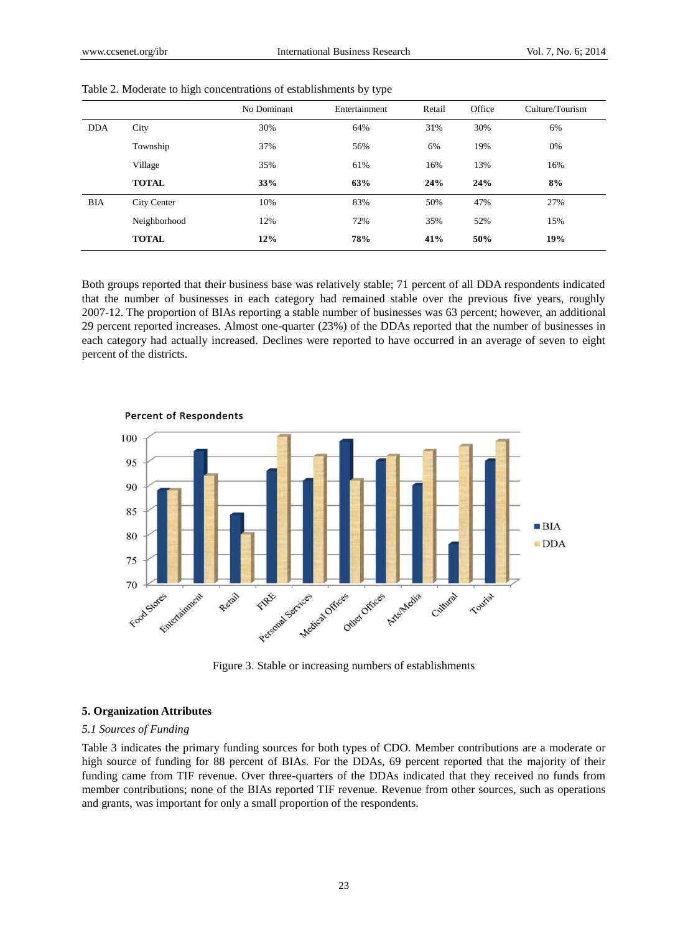|            |              | No Dominant | Entertainment | Retail | Office | Culture/Tourism |
|------------|--------------|-------------|---------------|--------|--------|-----------------|
| <b>DDA</b> | City         | 30%         | 64%           | 31%    | 30%    | 6%              |
|            | Township     | 37%         | 56%           | 6%     | 19%    | 0%              |
|            | Village      | 35%         | 61%           | 16%    | 13%    | 16%             |
|            | <b>TOTAL</b> | 33%         | 63%           | 24%    | 24%    | 8%              |
| <b>BIA</b> | City Center  | 10%         | 83%           | 50%    | 47%    | 27%             |
|            | Neighborhood | 12%         | 72%           | 35%    | 52%    | 15%             |
|            | <b>TOTAL</b> | 12%         | 78%           | 41%    | 50%    | 19%             |

Table 2. Moderate to high concentrations of establishments by type

Both groups reported that their business base was relatively stable; 71 percent of all DDA respondents indicated that the number of businesses in each category had remained stable over the previous five years, roughly 2007-12. The proportion of BIAs reporting a stable number of businesses was 63 percent; however, an additional 29 percent reported increases. Almost one-quarter (23%) of the DDAs reported that the number of businesses in each category had actually increased. Declines were reported to have occurred in an average of seven to eight percent of the districts.



Figure 3. Stable or increasing numbers of establishments

# **5. Organization Attributes**

#### *5.1 Sources of Funding*

Table 3 indicates the primary funding sources for both types of CDO. Member contributions are a moderate or high source of funding for 88 percent of BIAs. For the DDAs, 69 percent reported that the majority of their funding came from TIF revenue. Over three-quarters of the DDAs indicated that they received no funds from member contributions; none of the BIAs reported TIF revenue. Revenue from other sources, such as operations and grants, was important for only a small proportion of the respondents.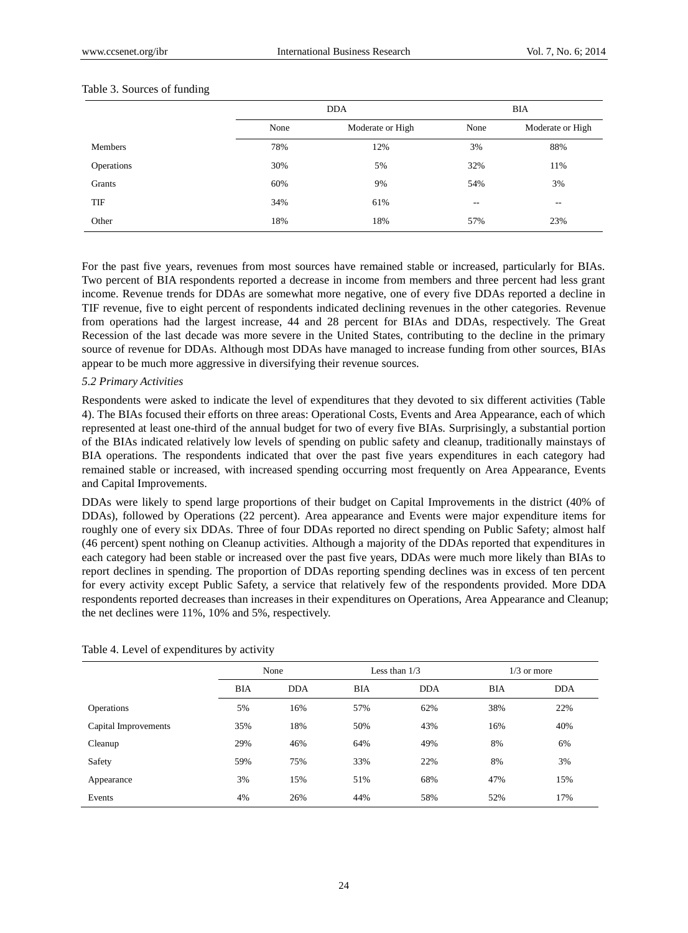|            | <b>DDA</b> |                  | <b>BIA</b> |                  |  |
|------------|------------|------------------|------------|------------------|--|
|            | None       | Moderate or High | None       | Moderate or High |  |
| Members    | 78%        | 12%              | 3%         | 88%              |  |
| Operations | 30%        | 5%               | 32%        | 11%              |  |
| Grants     | 60%        | 9%               | 54%        | 3%               |  |
| TIF        | 34%        | 61%              | $- -$      | $\sim$ $-$       |  |
| Other      | 18%        | 18%              | 57%        | 23%              |  |

#### Table 3. Sources of funding

For the past five years, revenues from most sources have remained stable or increased, particularly for BIAs. Two percent of BIA respondents reported a decrease in income from members and three percent had less grant income. Revenue trends for DDAs are somewhat more negative, one of every five DDAs reported a decline in TIF revenue, five to eight percent of respondents indicated declining revenues in the other categories. Revenue from operations had the largest increase, 44 and 28 percent for BIAs and DDAs, respectively. The Great Recession of the last decade was more severe in the United States, contributing to the decline in the primary source of revenue for DDAs. Although most DDAs have managed to increase funding from other sources, BIAs appear to be much more aggressive in diversifying their revenue sources.

#### *5.2 Primary Activities*

Respondents were asked to indicate the level of expenditures that they devoted to six different activities (Table 4). The BIAs focused their efforts on three areas: Operational Costs, Events and Area Appearance, each of which represented at least one-third of the annual budget for two of every five BIAs. Surprisingly, a substantial portion of the BIAs indicated relatively low levels of spending on public safety and cleanup, traditionally mainstays of BIA operations. The respondents indicated that over the past five years expenditures in each category had remained stable or increased, with increased spending occurring most frequently on Area Appearance, Events and Capital Improvements.

DDAs were likely to spend large proportions of their budget on Capital Improvements in the district (40% of DDAs), followed by Operations (22 percent). Area appearance and Events were major expenditure items for roughly one of every six DDAs. Three of four DDAs reported no direct spending on Public Safety; almost half (46 percent) spent nothing on Cleanup activities. Although a majority of the DDAs reported that expenditures in each category had been stable or increased over the past five years, DDAs were much more likely than BIAs to report declines in spending. The proportion of DDAs reporting spending declines was in excess of ten percent for every activity except Public Safety, a service that relatively few of the respondents provided. More DDA respondents reported decreases than increases in their expenditures on Operations, Area Appearance and Cleanup; the net declines were 11%, 10% and 5%, respectively.

|                      | None       |            |            | Less than $1/3$ |            | $1/3$ or more |
|----------------------|------------|------------|------------|-----------------|------------|---------------|
|                      | <b>BIA</b> | <b>DDA</b> | <b>BIA</b> | <b>DDA</b>      | <b>BIA</b> | <b>DDA</b>    |
| Operations           | 5%         | 16%        | 57%        | 62%             | 38%        | 22%           |
| Capital Improvements | 35%        | 18%        | 50%        | 43%             | 16%        | 40%           |
| Cleanup              | 29%        | 46%        | 64%        | 49%             | 8%         | 6%            |
| Safety               | 59%        | 75%        | 33%        | 22%             | 8%         | 3%            |
| Appearance           | 3%         | 15%        | 51%        | 68%             | 47%        | 15%           |
| Events               | 4%         | 26%        | 44%        | 58%             | 52%        | 17%           |

Table 4. Level of expenditures by activity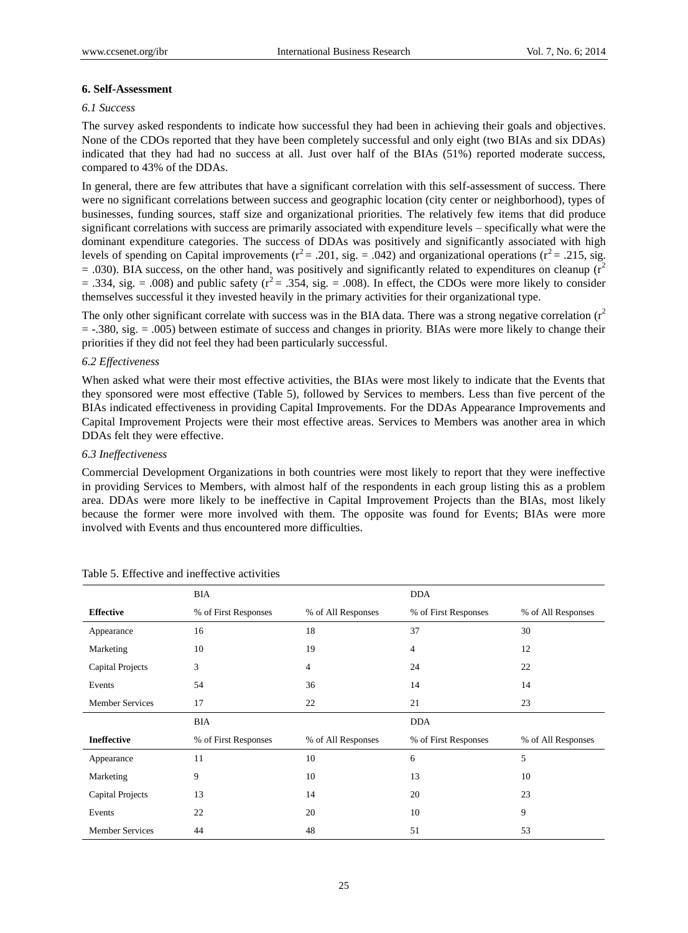## **6. Self-Assessment**

#### *6.1 Success*

The survey asked respondents to indicate how successful they had been in achieving their goals and objectives. None of the CDOs reported that they have been completely successful and only eight (two BIAs and six DDAs) indicated that they had had no success at all. Just over half of the BIAs (51%) reported moderate success, compared to 43% of the DDAs.

In general, there are few attributes that have a significant correlation with this self-assessment of success. There were no significant correlations between success and geographic location (city center or neighborhood), types of businesses, funding sources, staff size and organizational priorities. The relatively few items that did produce significant correlations with success are primarily associated with expenditure levels – specifically what were the dominant expenditure categories. The success of DDAs was positively and significantly associated with high levels of spending on Capital improvements ( $r^2 = .201$ , sig. = .042) and organizational operations ( $r^2 = .215$ , sig.  $=$  .030). BIA success, on the other hand, was positively and significantly related to expenditures on cleanup ( $r^2$  $= .334$ , sig.  $= .008$ ) and public safety ( $r^2 = .354$ , sig.  $= .008$ ). In effect, the CDOs were more likely to consider themselves successful it they invested heavily in the primary activities for their organizational type.

The only other significant correlate with success was in the BIA data. There was a strong negative correlation  $(r^2)$  $=$  -.380, sig.  $=$  .005) between estimate of success and changes in priority. BIAs were more likely to change their priorities if they did not feel they had been particularly successful.

# *6.2 Effectiveness*

When asked what were their most effective activities, the BIAs were most likely to indicate that the Events that they sponsored were most effective (Table 5), followed by Services to members. Less than five percent of the BIAs indicated effectiveness in providing Capital Improvements. For the DDAs Appearance Improvements and Capital Improvement Projects were their most effective areas. Services to Members was another area in which DDAs felt they were effective.

# *6.3 Ineffectiveness*

Commercial Development Organizations in both countries were most likely to report that they were ineffective in providing Services to Members, with almost half of the respondents in each group listing this as a problem area. DDAs were more likely to be ineffective in Capital Improvement Projects than the BIAs, most likely because the former were more involved with them. The opposite was found for Events; BIAs were more involved with Events and thus encountered more difficulties.

|                         | <b>BIA</b>           |                    | <b>DDA</b>           |                    |
|-------------------------|----------------------|--------------------|----------------------|--------------------|
| <b>Effective</b>        | % of First Responses | % of All Responses | % of First Responses | % of All Responses |
| Appearance              | 16                   | 18                 | 37                   | 30                 |
| Marketing               | 10                   | 19                 | 4                    | 12                 |
| <b>Capital Projects</b> | 3                    | 4                  | 24                   | 22                 |
| Events                  | 54                   | 36                 | 14                   | 14                 |
| <b>Member Services</b>  | 17                   | 22                 | 21                   | 23                 |
|                         |                      |                    |                      |                    |
|                         | <b>BIA</b>           |                    | <b>DDA</b>           |                    |
| <b>Ineffective</b>      | % of First Responses | % of All Responses | % of First Responses | % of All Responses |
| Appearance              | 11                   | 10                 | 6                    | 5                  |
| Marketing               | 9                    | 10                 | 13                   | 10                 |
| <b>Capital Projects</b> | 13                   | 14                 | 20                   | 23                 |
| Events                  | 22                   | 20                 | 10                   | 9                  |

|  |  | Table 5. Effective and ineffective activities |  |  |
|--|--|-----------------------------------------------|--|--|
|--|--|-----------------------------------------------|--|--|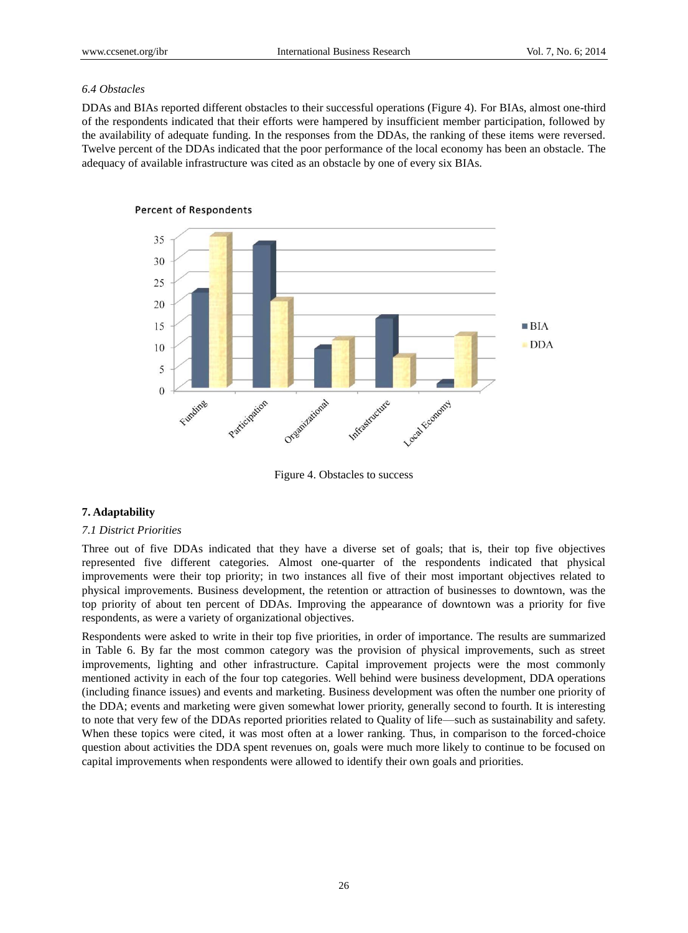# *6.4 Obstacles*

DDAs and BIAs reported different obstacles to their successful operations (Figure 4). For BIAs, almost one-third of the respondents indicated that their efforts were hampered by insufficient member participation, followed by the availability of adequate funding. In the responses from the DDAs, the ranking of these items were reversed. Twelve percent of the DDAs indicated that the poor performance of the local economy has been an obstacle. The adequacy of available infrastructure was cited as an obstacle by one of every six BIAs.



## **Percent of Respondents**

Figure 4. Obstacles to success

# **7. Adaptability**

# *7.1 District Priorities*

Three out of five DDAs indicated that they have a diverse set of goals; that is, their top five objectives represented five different categories. Almost one-quarter of the respondents indicated that physical improvements were their top priority; in two instances all five of their most important objectives related to physical improvements. Business development, the retention or attraction of businesses to downtown, was the top priority of about ten percent of DDAs. Improving the appearance of downtown was a priority for five respondents, as were a variety of organizational objectives.

Respondents were asked to write in their top five priorities, in order of importance. The results are summarized in Table 6. By far the most common category was the provision of physical improvements, such as street improvements, lighting and other infrastructure. Capital improvement projects were the most commonly mentioned activity in each of the four top categories. Well behind were business development, DDA operations (including finance issues) and events and marketing. Business development was often the number one priority of the DDA; events and marketing were given somewhat lower priority, generally second to fourth. It is interesting to note that very few of the DDAs reported priorities related to Quality of life—such as sustainability and safety. When these topics were cited, it was most often at a lower ranking. Thus, in comparison to the forced-choice question about activities the DDA spent revenues on, goals were much more likely to continue to be focused on capital improvements when respondents were allowed to identify their own goals and priorities.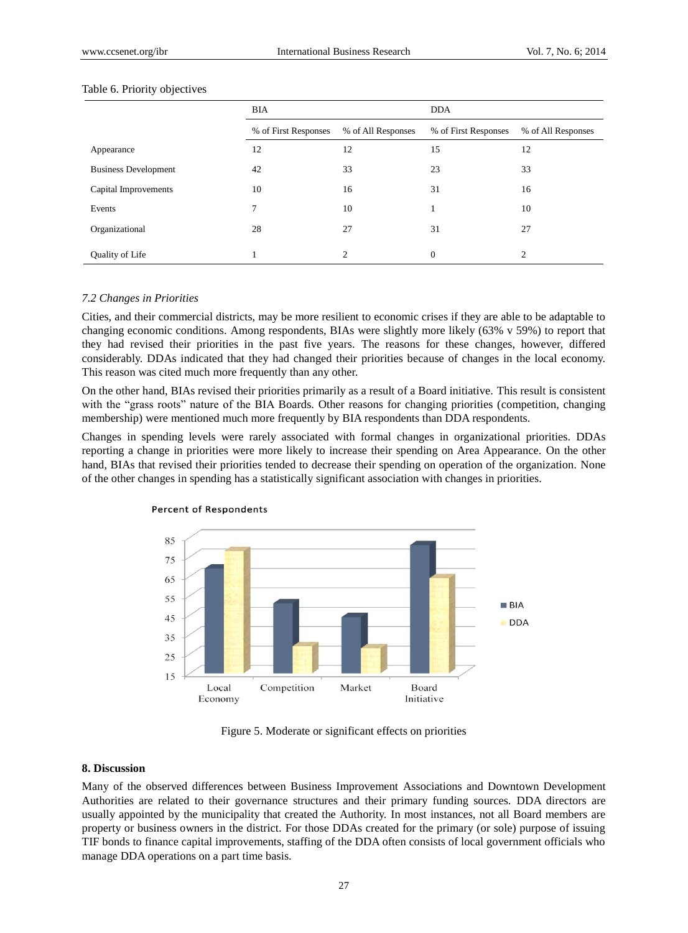|                             | <b>BIA</b>           |                    | <b>DDA</b>           |                    |  |
|-----------------------------|----------------------|--------------------|----------------------|--------------------|--|
|                             | % of First Responses | % of All Responses | % of First Responses | % of All Responses |  |
| Appearance                  | 12                   | 12                 | 15                   | 12                 |  |
| <b>Business Development</b> | 42                   | 33                 | 23                   | 33                 |  |
| Capital Improvements        | 10                   | 16                 | 31                   | 16                 |  |
| Events                      | 7                    | 10                 |                      | 10                 |  |
| Organizational              | 28                   | 27                 | 31                   | 27                 |  |
| Quality of Life             | ٠                    | $\overline{c}$     | 0                    | $\mathfrak{D}$     |  |

#### Table 6. Priority objectives

## *7.2 Changes in Priorities*

Cities, and their commercial districts, may be more resilient to economic crises if they are able to be adaptable to changing economic conditions. Among respondents, BIAs were slightly more likely (63% v 59%) to report that they had revised their priorities in the past five years. The reasons for these changes, however, differed considerably. DDAs indicated that they had changed their priorities because of changes in the local economy. This reason was cited much more frequently than any other.

On the other hand, BIAs revised their priorities primarily as a result of a Board initiative. This result is consistent with the "grass roots" nature of the BIA Boards. Other reasons for changing priorities (competition, changing membership) were mentioned much more frequently by BIA respondents than DDA respondents.

Changes in spending levels were rarely associated with formal changes in organizational priorities. DDAs reporting a change in priorities were more likely to increase their spending on Area Appearance. On the other hand, BIAs that revised their priorities tended to decrease their spending on operation of the organization. None of the other changes in spending has a statistically significant association with changes in priorities.





Figure 5. Moderate or significant effects on priorities

## **8. Discussion**

Many of the observed differences between Business Improvement Associations and Downtown Development Authorities are related to their governance structures and their primary funding sources. DDA directors are usually appointed by the municipality that created the Authority. In most instances, not all Board members are property or business owners in the district. For those DDAs created for the primary (or sole) purpose of issuing TIF bonds to finance capital improvements, staffing of the DDA often consists of local government officials who manage DDA operations on a part time basis.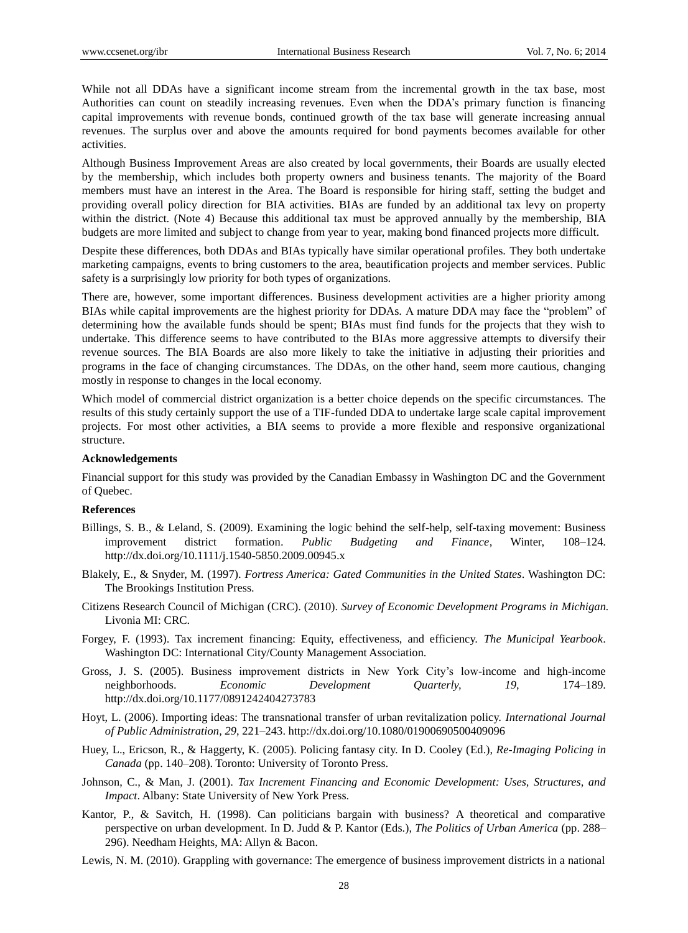While not all DDAs have a significant income stream from the incremental growth in the tax base, most Authorities can count on steadily increasing revenues. Even when the DDA's primary function is financing capital improvements with revenue bonds, continued growth of the tax base will generate increasing annual revenues. The surplus over and above the amounts required for bond payments becomes available for other activities.

Although Business Improvement Areas are also created by local governments, their Boards are usually elected by the membership, which includes both property owners and business tenants. The majority of the Board members must have an interest in the Area. The Board is responsible for hiring staff, setting the budget and providing overall policy direction for BIA activities. BIAs are funded by an additional tax levy on property within the district. (Note 4) Because this additional tax must be approved annually by the membership, BIA budgets are more limited and subject to change from year to year, making bond financed projects more difficult.

Despite these differences, both DDAs and BIAs typically have similar operational profiles. They both undertake marketing campaigns, events to bring customers to the area, beautification projects and member services. Public safety is a surprisingly low priority for both types of organizations.

There are, however, some important differences. Business development activities are a higher priority among BIAs while capital improvements are the highest priority for DDAs. A mature DDA may face the "problem" of determining how the available funds should be spent; BIAs must find funds for the projects that they wish to undertake. This difference seems to have contributed to the BIAs more aggressive attempts to diversify their revenue sources. The BIA Boards are also more likely to take the initiative in adjusting their priorities and programs in the face of changing circumstances. The DDAs, on the other hand, seem more cautious, changing mostly in response to changes in the local economy.

Which model of commercial district organization is a better choice depends on the specific circumstances. The results of this study certainly support the use of a TIF-funded DDA to undertake large scale capital improvement projects. For most other activities, a BIA seems to provide a more flexible and responsive organizational structure.

## **Acknowledgements**

Financial support for this study was provided by the Canadian Embassy in Washington DC and the Government of Quebec.

## **References**

- Billings, S. B., & Leland, S. (2009). Examining the logic behind the self-help, self-taxing movement: Business improvement district formation. *Public Budgeting and Finance,* Winter, 108–124. http://dx.doi.org/10.1111/j.1540-5850.2009.00945.x
- Blakely, E., & Snyder, M. (1997). *Fortress America: Gated Communities in the United States*. Washington DC: The Brookings Institution Press.
- Citizens Research Council of Michigan (CRC). (2010). *Survey of Economic Development Programs in Michigan.* Livonia MI: CRC.
- Forgey, F. (1993). Tax increment financing: Equity, effectiveness, and efficiency. *The Municipal Yearbook*. Washington DC: International City/County Management Association.
- Gross, J. S. (2005). Business improvement districts in New York City's low-income and high-income neighborhoods. *Economic Development Quarterly, 19*, 174–189. http://dx.doi.org/10.1177/0891242404273783
- Hoyt, L. (2006). Importing ideas: The transnational transfer of urban revitalization policy. *International Journal of Public Administration, 29*, 221–243. http://dx.doi.org/10.1080/01900690500409096
- Huey, L., Ericson, R., & Haggerty, K. (2005). Policing fantasy city. In D. Cooley (Ed.), *Re-Imaging Policing in Canada* (pp. 140–208). Toronto: University of Toronto Press.
- Johnson, C., & Man, J. (2001). *Tax Increment Financing and Economic Development: Uses, Structures, and Impact*. Albany: State University of New York Press.
- Kantor, P., & Savitch, H. (1998). Can politicians bargain with business? A theoretical and comparative perspective on urban development. In D. Judd & P. Kantor (Eds.), *The Politics of Urban America* (pp. 288– 296). Needham Heights, MA: Allyn & Bacon.
- Lewis, N. M. (2010). Grappling with governance: The emergence of business improvement districts in a national